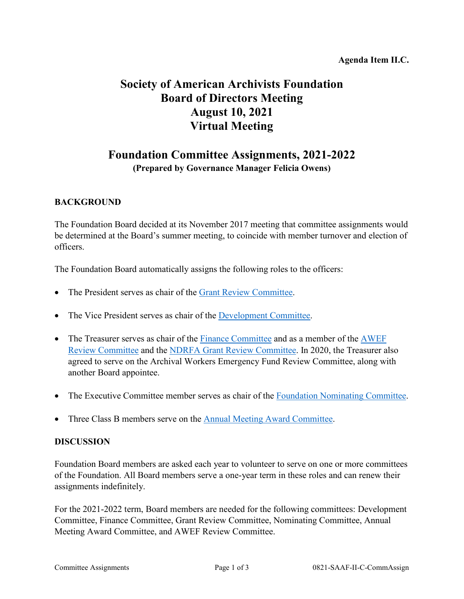### **Agenda Item II.C.**

# **Society of American Archivists Foundation Board of Directors Meeting August 10, 2021 Virtual Meeting**

# **Foundation Committee Assignments, 2021-2022 (Prepared by Governance Manager Felicia Owens)**

# **BACKGROUND**

The Foundation Board decided at its November 2017 meeting that committee assignments would be determined at the Board's summer meeting, to coincide with member turnover and election of officers.

The Foundation Board automatically assigns the following roles to the officers:

- The President serves as chair of the [Grant Review Committee.](http://www2.archivists.org/groups/saa-foundation-board-of-directors/saa-foundation-grant-review-committee)
- The Vice President serves as chair of the [Development Committee.](https://www2.archivists.org/groups/saa-foundation-board-of-directors/saa-foundation-development-committee)
- The Treasurer serves as chair of the [Finance Committee](https://www2.archivists.org/groups/saa-foundation-board-of-directors/saa-foundation-finance-committee) and as a member of the AWEF [Review Committee](https://www2.archivists.org/groups/saa-foundation-board-of-directors/archival-workers-emergency-fund-grant-review-committee) and the [NDRFA Grant Review Committee.](https://www2.archivists.org/groups/saa-foundation-board-of-directors/saa-foundation-ndrfa-grant-review-committee) In 2020, the Treasurer also agreed to serve on the Archival Workers Emergency Fund Review Committee, along with another Board appointee.
- The Executive Committee member serves as chair of the [Foundation Nominating Committee.](https://www2.archivists.org/groups/saa-foundation-board-of-directors/saa-foundation-nominating-committee)
- Three Class B members serve on the Annual Meeting [Award Committee.](https://www2.archivists.org/groups/saa-foundation-board-of-directors/saa-foundation-annual-meeting-award-committee)

#### **DISCUSSION**

Foundation Board members are asked each year to volunteer to serve on one or more committees of the Foundation. All Board members serve a one-year term in these roles and can renew their assignments indefinitely.

For the 2021-2022 term, Board members are needed for the following committees: Development Committee, Finance Committee, Grant Review Committee, Nominating Committee, Annual Meeting Award Committee, and AWEF Review Committee.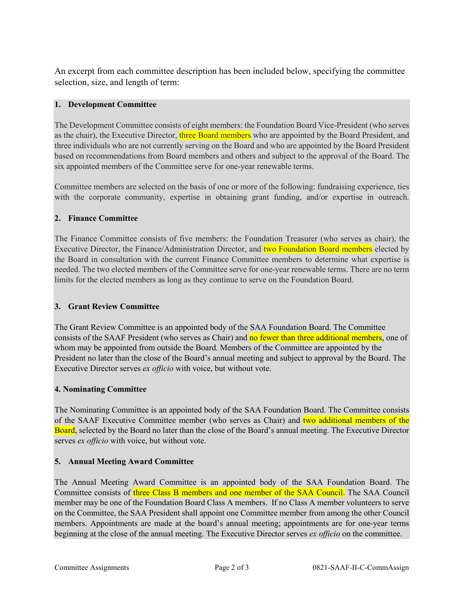An excerpt from each committee description has been included below, specifying the committee selection, size, and length of term:

#### **1. Development Committee**

The Development Committee consists of eight members: the Foundation Board Vice-President (who serves as the chair), the Executive Director, three Board members who are appointed by the Board President, and three individuals who are not currently serving on the Board and who are appointed by the Board President based on recommendations from Board members and others and subject to the approval of the Board. The six appointed members of the Committee serve for one-year renewable terms.

Committee members are selected on the basis of one or more of the following: fundraising experience, ties with the corporate community, expertise in obtaining grant funding, and/or expertise in outreach.

#### **2. Finance Committee**

The Finance Committee consists of five members: the Foundation Treasurer (who serves as chair), the Executive Director, the Finance/Administration Director, and two Foundation Board members elected by the Board in consultation with the current Finance Committee members to determine what expertise is needed. The two elected members of the Committee serve for one-year renewable terms. There are no term limits for the elected members as long as they continue to serve on the Foundation Board.

#### **3. Grant Review Committee**

The Grant Review Committee is an appointed body of the SAA Foundation Board. The Committee consists of the SAAF President (who serves as Chair) and no fewer than three additional members, one of whom may be appointed from outside the Board. Members of the Committee are appointed by the President no later than the close of the Board's annual meeting and subject to approval by the Board. The Executive Director serves *ex officio* with voice, but without vote.

#### **4. Nominating Committee**

The Nominating Committee is an appointed body of the SAA Foundation Board. The Committee consists of the SAAF Executive Committee member (who serves as Chair) and two additional members of the Board, selected by the Board no later than the close of the Board's annual meeting. The Executive Director serves *ex officio* with voice, but without vote.

#### **5. Annual Meeting Award Committee**

The Annual Meeting Award Committee is an appointed body of the SAA Foundation Board. The Committee consists of three Class B members and one member of the SAA Council. The SAA Council member may be one of the Foundation Board Class A members. If no Class A member volunteers to serve on the Committee, the SAA President shall appoint one Committee member from among the other Council members. Appointments are made at the board's annual meeting; appointments are for one-year terms beginning at the close of the annual meeting. The Executive Director serves *ex officio* on the committee.